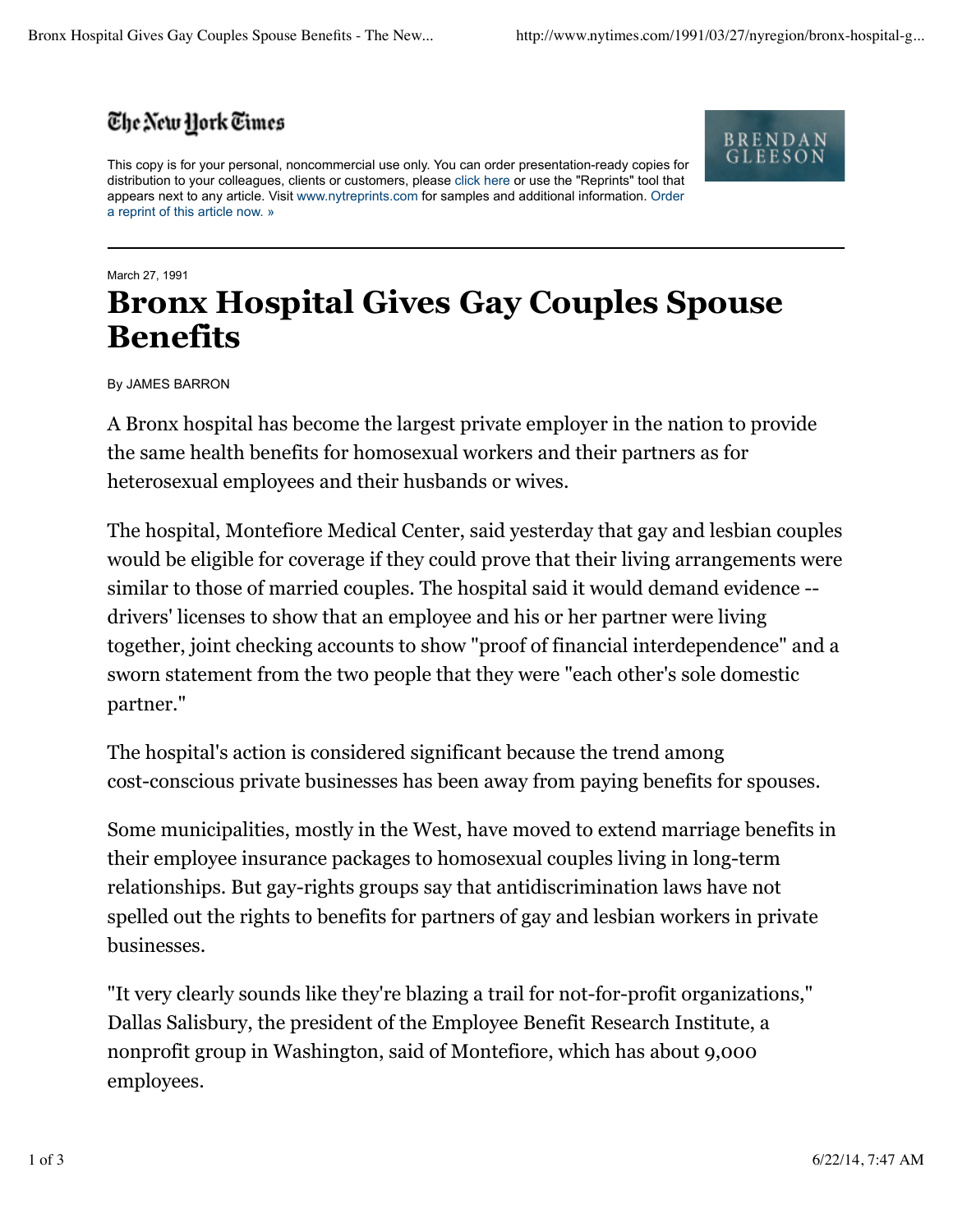

This copy is for your personal, noncommercial use only. You can order presentation-ready copies for distribution to your colleagues, clients or customers, please click here or use the "Reprints" tool that appears next to any article. Visit www.nytreprints.com for samples and additional information. Order a reprint of this article now. »



## March 27, 1991 **Bronx Hospital Gives Gay Couples Spouse Benefits**

By JAMES BARRON

A Bronx hospital has become the largest private employer in the nation to provide the same health benefits for homosexual workers and their partners as for heterosexual employees and their husbands or wives.

The hospital, Montefiore Medical Center, said yesterday that gay and lesbian couples would be eligible for coverage if they could prove that their living arrangements were similar to those of married couples. The hospital said it would demand evidence - drivers' licenses to show that an employee and his or her partner were living together, joint checking accounts to show "proof of financial interdependence" and a sworn statement from the two people that they were "each other's sole domestic partner."

The hospital's action is considered significant because the trend among cost-conscious private businesses has been away from paying benefits for spouses.

Some municipalities, mostly in the West, have moved to extend marriage benefits in their employee insurance packages to homosexual couples living in long-term relationships. But gay-rights groups say that antidiscrimination laws have not spelled out the rights to benefits for partners of gay and lesbian workers in private businesses.

"It very clearly sounds like they're blazing a trail for not-for-profit organizations," Dallas Salisbury, the president of the Employee Benefit Research Institute, a nonprofit group in Washington, said of Montefiore, which has about 9,000 employees.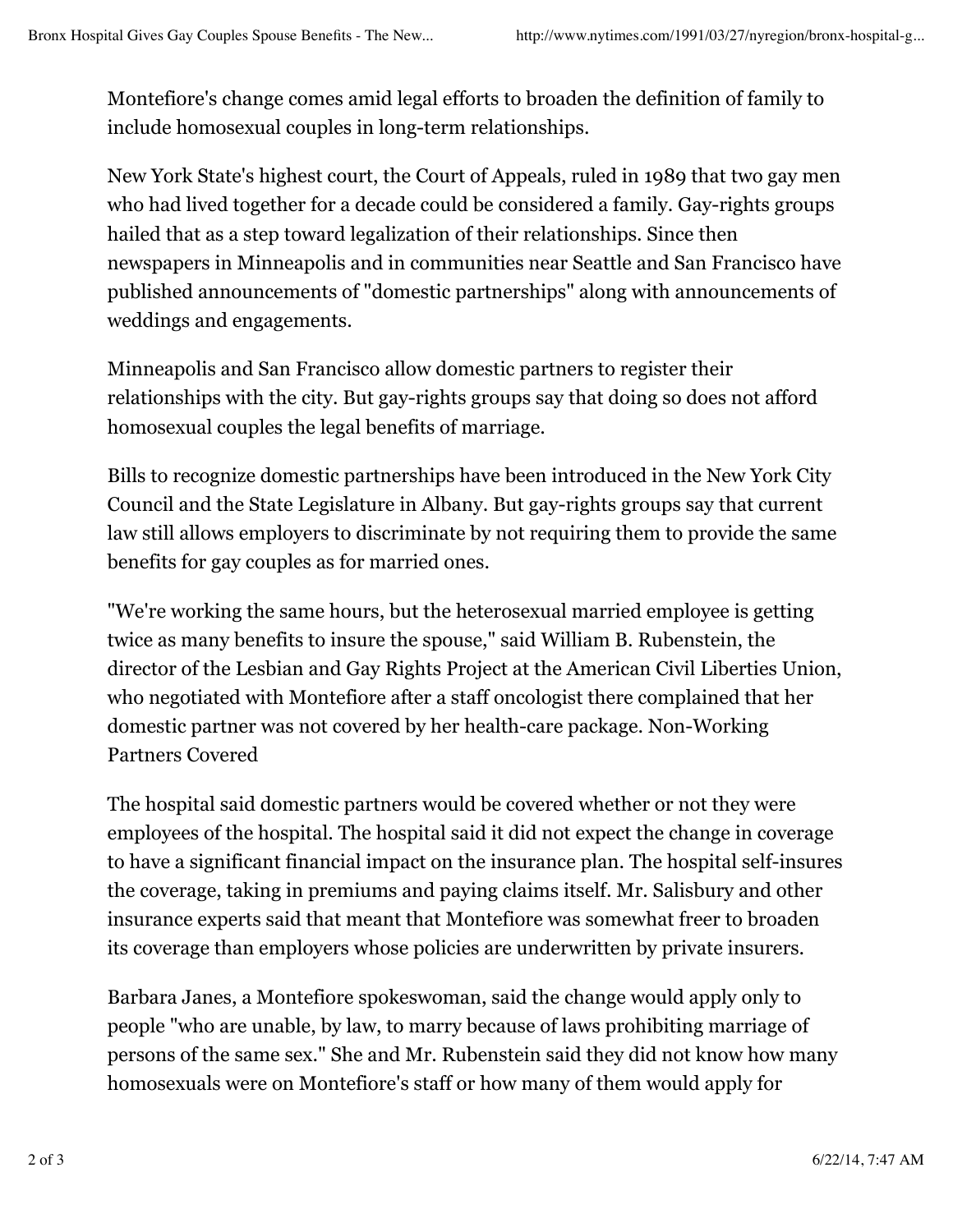Montefiore's change comes amid legal efforts to broaden the definition of family to include homosexual couples in long-term relationships.

New York State's highest court, the Court of Appeals, ruled in 1989 that two gay men who had lived together for a decade could be considered a family. Gay-rights groups hailed that as a step toward legalization of their relationships. Since then newspapers in Minneapolis and in communities near Seattle and San Francisco have published announcements of "domestic partnerships" along with announcements of weddings and engagements.

Minneapolis and San Francisco allow domestic partners to register their relationships with the city. But gay-rights groups say that doing so does not afford homosexual couples the legal benefits of marriage.

Bills to recognize domestic partnerships have been introduced in the New York City Council and the State Legislature in Albany. But gay-rights groups say that current law still allows employers to discriminate by not requiring them to provide the same benefits for gay couples as for married ones.

"We're working the same hours, but the heterosexual married employee is getting twice as many benefits to insure the spouse," said William B. Rubenstein, the director of the Lesbian and Gay Rights Project at the American Civil Liberties Union, who negotiated with Montefiore after a staff oncologist there complained that her domestic partner was not covered by her health-care package. Non-Working Partners Covered

The hospital said domestic partners would be covered whether or not they were employees of the hospital. The hospital said it did not expect the change in coverage to have a significant financial impact on the insurance plan. The hospital self-insures the coverage, taking in premiums and paying claims itself. Mr. Salisbury and other insurance experts said that meant that Montefiore was somewhat freer to broaden its coverage than employers whose policies are underwritten by private insurers.

Barbara Janes, a Montefiore spokeswoman, said the change would apply only to people "who are unable, by law, to marry because of laws prohibiting marriage of persons of the same sex." She and Mr. Rubenstein said they did not know how many homosexuals were on Montefiore's staff or how many of them would apply for